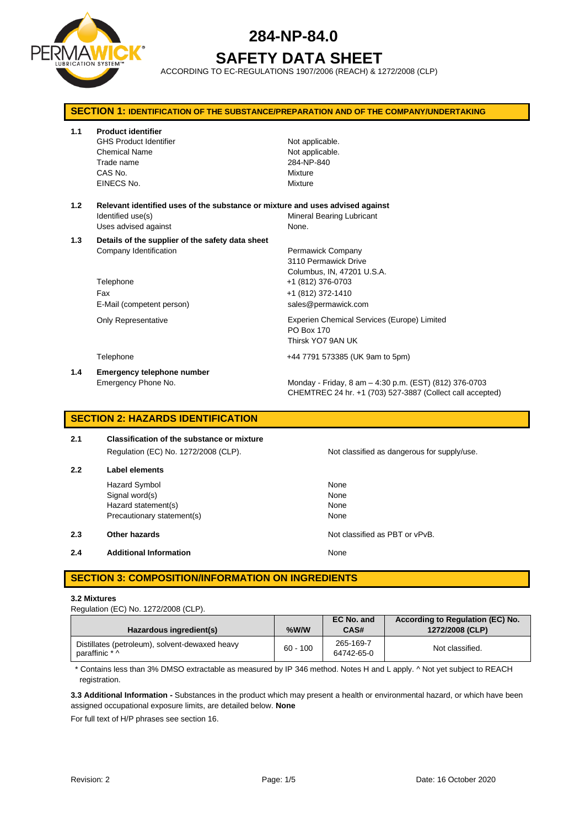

# **SAFETY DATA SHEET**

ACCORDING TO EC-REGULATIONS 1907/2006 (REACH) & 1272/2008 (CLP)

| <b>SECTION 1: IDENTIFICATION OF THE SUBSTANCE/PREPARATION AND OF THE COMPANY/UNDERTAKING</b> |                                                                                                                             |                                                                                                                                          |  |
|----------------------------------------------------------------------------------------------|-----------------------------------------------------------------------------------------------------------------------------|------------------------------------------------------------------------------------------------------------------------------------------|--|
| 1.1                                                                                          | <b>Product identifier</b><br><b>GHS Product Identifier</b><br><b>Chemical Name</b><br>Trade name<br>CAS No.<br>EINECS No.   | Not applicable.<br>Not applicable.<br>284-NP-840<br>Mixture<br>Mixture                                                                   |  |
| 1.2                                                                                          | Relevant identified uses of the substance or mixture and uses advised against<br>Identified use(s)<br>Uses advised against  | <b>Mineral Bearing Lubricant</b><br>None.                                                                                                |  |
| 1.3                                                                                          | Details of the supplier of the safety data sheet<br>Company Identification<br>Telephone<br>Fax<br>E-Mail (competent person) | Permawick Company<br>3110 Permawick Drive<br>Columbus, IN, 47201 U.S.A.<br>+1 (812) 376-0703<br>+1 (812) 372-1410<br>sales@permawick.com |  |
|                                                                                              | <b>Only Representative</b>                                                                                                  | Experien Chemical Services (Europe) Limited<br>PO Box 170<br>Thirsk YO7 9AN UK                                                           |  |
|                                                                                              | Telephone                                                                                                                   | +44 7791 573385 (UK 9am to 5pm)                                                                                                          |  |
| 1.4                                                                                          | <b>Emergency telephone number</b><br>Emergency Phone No.                                                                    | Monday - Friday, 8 am - 4:30 p.m. (EST) (812) 376-0703<br>CHEMTREC 24 hr. +1 (703) 527-3887 (Collect call accepted)                      |  |

# **SECTION 2: HAZARDS IDENTIFICATION**

| 2.1 | <b>Classification of the substance or mixture</b> |  |  |
|-----|---------------------------------------------------|--|--|
|     | Regulation (EC) No. 1272/2008 (CLP).              |  |  |
| 2.2 | Label elements                                    |  |  |

Hazard Symbol None Signal word(s) None Hazard statement(s) None Precautionary statement(s) None

**2.3 Other hazards Details According to the COVID-100 Motion COVID-100 Motion COVID-100 Motion COVID-100 Motion COVID-100 Motion COVID-100 Motion COVID-100 Motion COVID-100 Motion COVID-100 Motion COVID-100 Motion COVI** 

**2.4 Additional Information None** 

# **SECTION 3: COMPOSITION/INFORMATION ON INGREDIENTS**

#### **3.2 Mixtures**

Regulation (EC) No. 1272/2008 (CLP).

| Hazardous ingredient(s)                                          | %W/W       | EC No. and<br>CAS#      | According to Regulation (EC) No.<br>1272/2008 (CLP) |
|------------------------------------------------------------------|------------|-------------------------|-----------------------------------------------------|
| Distillates (petroleum), solvent-dewaxed heavy<br>paraffinic * ^ | $60 - 100$ | 265-169-7<br>64742-65-0 | Not classified.                                     |

\* Contains less than 3% DMSO extractable as measured by IP 346 method. Notes H and L apply. ^ Not yet subject to REACH registration.

**3.3 Additional Information -** Substances in the product which may present a health or environmental hazard, or which have been assigned occupational exposure limits, are detailed below. **None**

For full text of H/P phrases see section 16.

Not classified as dangerous for supply/use.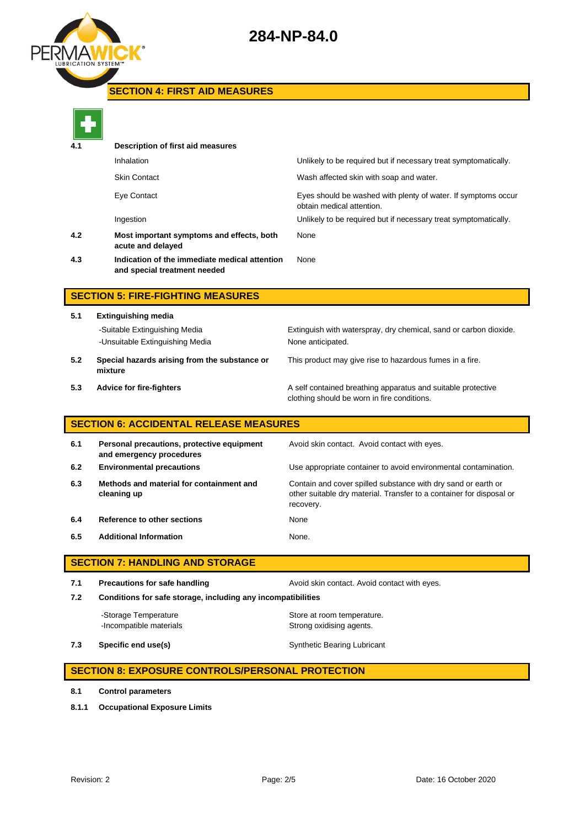

# **SECTION 4: FIRST AID MEASURES**



| 4.1 | Description of first aid measures                                             |                                                                                            |
|-----|-------------------------------------------------------------------------------|--------------------------------------------------------------------------------------------|
|     | Inhalation                                                                    | Unlikely to be required but if necessary treat symptomatically.                            |
|     | <b>Skin Contact</b>                                                           | Wash affected skin with soap and water.                                                    |
|     | Eye Contact                                                                   | Eyes should be washed with plenty of water. If symptoms occur<br>obtain medical attention. |
|     | Ingestion                                                                     | Unlikely to be required but if necessary treat symptomatically.                            |
| 4.2 | Most important symptoms and effects, both<br>acute and delayed                | None                                                                                       |
| 4.3 | Indication of the immediate medical attention<br>and special treatment needed | None                                                                                       |
|     |                                                                               |                                                                                            |

# **SECTION 5: FIRE-FIGHTING MEASURES**

**5.1 Extinguishing media** -Suitable Extinguishing Media Extinguish with waterspray, dry chemical, sand or carbon dioxide. -Unsuitable Extinguishing Media None anticipated. **5.2 Special hazards arising from the substance or mixture**

This product may give rise to hazardous fumes in a fire.

**5.3 Advice for fire-fighters A self** contained breathing apparatus and suitable protective clothing should be worn in fire conditions.

# **SECTION 6: ACCIDENTAL RELEASE MEASURES**

| 6.1 | Personal precautions, protective equipment<br>and emergency procedures | Avoid skin contact. Avoid contact with eyes.                                                                                                       |
|-----|------------------------------------------------------------------------|----------------------------------------------------------------------------------------------------------------------------------------------------|
| 6.2 | <b>Environmental precautions</b>                                       | Use appropriate container to avoid environmental contamination.                                                                                    |
| 6.3 | Methods and material for containment and<br>cleaning up                | Contain and cover spilled substance with dry sand or earth or<br>other suitable dry material. Transfer to a container for disposal or<br>recovery. |
| 6.4 | Reference to other sections                                            | None                                                                                                                                               |
| 6.5 | <b>Additional Information</b>                                          | None.                                                                                                                                              |

# **SECTION 7: HANDLING AND STORAGE**

**7.1 Precautions for safe handling Avoid skin contact. Avoid contact with eyes. 7.2 Conditions for safe storage, including any incompatibilities**

-Storage Temperature **Store at room temperature.** -Incompatible materials **Strong oxidising agents**.

**7.3 Specific end use(s)** Synthetic Bearing Lubricant

# **SECTION 8: EXPOSURE CONTROLS/PERSONAL PROTECTION**

- **8.1 Control parameters**
- **8.1.1 Occupational Exposure Limits**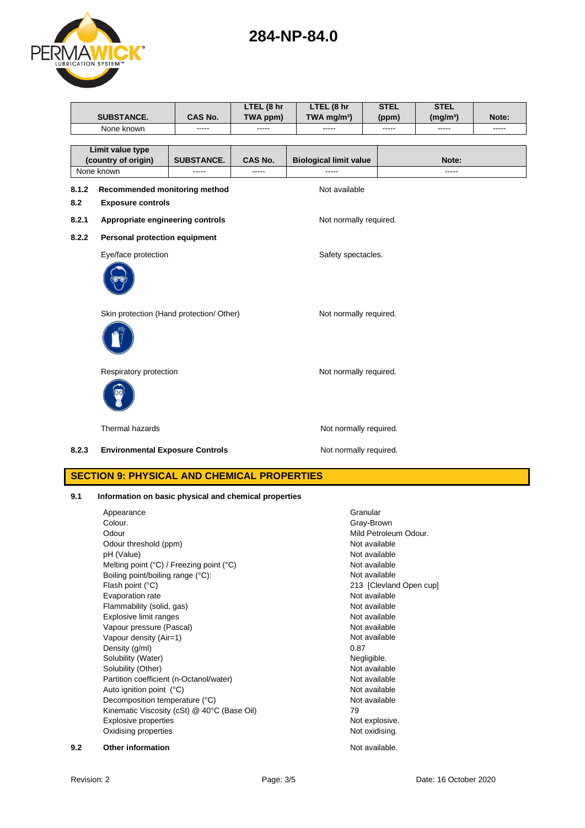| PERMAW<br><b>LUBRICATION SYSTEM™</b> |  |
|--------------------------------------|--|
|                                      |  |
|                                      |  |

|       | SUBSTANCE.                                            | CAS No.           | LTEL (8 hr<br>TWA ppm) | LTEL (8 hr<br>TWA mg/m <sup>3</sup> ) | <b>STEL</b><br>(ppm) | <b>STEL</b><br>(mg/m <sup>3</sup> ) | Note: |
|-------|-------------------------------------------------------|-------------------|------------------------|---------------------------------------|----------------------|-------------------------------------|-------|
|       | None known                                            | -----             | -----                  | -----                                 | -----                | -----                               | ----- |
|       |                                                       |                   |                        |                                       |                      |                                     |       |
|       | Limit value type<br>(country of origin)               | <b>SUBSTANCE.</b> | CAS No.                | <b>Biological limit value</b>         |                      | Note:                               |       |
|       | None known                                            | -----             | -----                  | -----                                 |                      | -----                               |       |
| 8.1.2 | Recommended monitoring method                         |                   |                        | Not available                         |                      |                                     |       |
| 8.2   | <b>Exposure controls</b>                              |                   |                        |                                       |                      |                                     |       |
| 8.2.1 | Appropriate engineering controls                      |                   |                        | Not normally required.                |                      |                                     |       |
| 8.2.2 | <b>Personal protection equipment</b>                  |                   |                        |                                       |                      |                                     |       |
|       | Eye/face protection                                   |                   |                        | Safety spectacles.                    |                      |                                     |       |
|       |                                                       |                   |                        |                                       |                      |                                     |       |
|       | Skin protection (Hand protection/ Other)              |                   |                        | Not normally required.                |                      |                                     |       |
|       |                                                       |                   |                        |                                       |                      |                                     |       |
|       | Respiratory protection                                |                   |                        | Not normally required.                |                      |                                     |       |
|       |                                                       |                   |                        |                                       |                      |                                     |       |
|       | Thermal hazards                                       |                   |                        | Not normally required.                |                      |                                     |       |
| 8.2.3 | <b>Environmental Exposure Controls</b>                |                   |                        | Not normally required.                |                      |                                     |       |
|       | <b>SECTION 9: PHYSICAL AND CHEMICAL PROPERTIES</b>    |                   |                        |                                       |                      |                                     |       |
| 9.1   | Information on basic physical and chemical properties |                   |                        |                                       |                      |                                     |       |
|       | Appearance                                            |                   |                        |                                       | Granular             |                                     |       |
|       | Colour.                                               |                   |                        |                                       | Gray-Brown           |                                     |       |
|       |                                                       |                   |                        |                                       |                      |                                     |       |

|     | Colour.                                                    | Gray-Brown              |
|-----|------------------------------------------------------------|-------------------------|
|     | Odour                                                      | Mild Petroleum Odour.   |
|     | Odour threshold (ppm)                                      | Not available           |
|     | pH (Value)                                                 | Not available           |
|     | Melting point $(^{\circ}C)$ / Freezing point $(^{\circ}C)$ | Not available           |
|     | Boiling point/boiling range (°C):                          | Not available           |
|     | Flash point (°C)                                           | 213 [Clevland Open cup] |
|     | Evaporation rate                                           | Not available           |
|     | Flammability (solid, gas)                                  | Not available           |
|     | Explosive limit ranges                                     | Not available           |
|     | Vapour pressure (Pascal)                                   | Not available           |
|     | Vapour density (Air=1)                                     | Not available           |
|     | Density (g/ml)                                             | 0.87                    |
|     | Solubility (Water)                                         | Negligible.             |
|     | Solubility (Other)                                         | Not available           |
|     | Partition coefficient (n-Octanol/water)                    | Not available           |
|     | Auto ignition point (°C)                                   | Not available           |
|     | Decomposition temperature (°C)                             | Not available           |
|     | Kinematic Viscosity (cSt) @ 40°C (Base Oil)                | 79                      |
|     | <b>Explosive properties</b>                                | Not explosive.          |
|     | Oxidising properties                                       | Not oxidising.          |
| 9.2 | <b>Other information</b>                                   | Not available.          |

**284-NP-84.0**

Revision: 2 **Page: 3/5** Page: 3/5 Date: 16 October 2020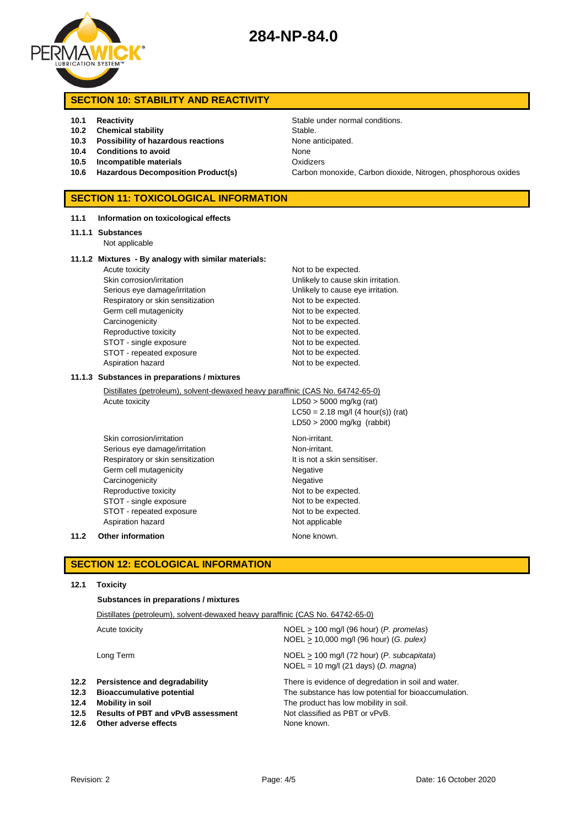

# **SECTION 10: STABILITY AND REACTIVITY**

## **10.1 Reactivity 10.1 Reactivity 10.1 Reactivity Stable under normal conditions.**

- **10.2 Chemical stability** Stable.
- **10.3 Possibility of hazardous reactions** None anticipated.
- **10.4 Conditions to avoid** None
- **10.5 Incompatible materials** Oxidizers
- 

## **SECTION 11: TOXICOLOGICAL INFORMATION**

#### **11.1 Information on toxicological effects**

#### **11.1.1 Substances**

Not applicable

#### **11.1.2 Mixtures - By analogy with similar materials:**

Acute toxicity and the expected. Skin corrosion/irritation **Value 2018** Unlikely to cause skin irritation. Serious eye damage/irritation **Exercise 20** Unlikely to cause eye irritation. Respiratory or skin sensitization Not to be expected. Germ cell mutagenicity **Not to be expected.** Carcinogenicity **Not to be expected.** Reproductive toxicity Not to be expected. STOT - single exposure Not to be expected. STOT - repeated exposure Not to be expected. Aspiration hazard Not to be expected.

# **10.6 Hazardous Decomposition Product(s)** Carbon monoxide, Carbon dioxide, Nitrogen, phosphorous oxides

#### **11.1.3 Substances in preparations / mixtures**

Distillates (petroleum), solvent-dewaxed heavy paraffinic (CAS No. 64742-65-0)

Acute toxicity  $LD50 > 5000$  mg/kg (rat)  $LC50 = 2.18$  mg/l (4 hour(s)) (rat) LD50 > 2000 mg/kg (rabbit) Skin corrosion/irritation Non-irritant.

Serious eye damage/irritation Non-irritant. Respiratory or skin sensitization It is not a skin sensitiser. Germ cell mutagenicity **Negative** Negative Carcinogenicity **Negative** Negative Reproductive toxicity Not to be expected. STOT - single exposure Not to be expected. STOT - repeated exposure Not to be expected. Aspiration hazard Not applicable

#### **11.2 Other information None known.**

# **SECTION 12: ECOLOGICAL INFORMATION**

#### **12.1 Toxicity**

**Substances in preparations / mixtures**

| Distillates (petroleum), solvent-dewaxed heavy paraffinic (CAS No. 64742-65-0)                                                                                                                        |  |  |
|-------------------------------------------------------------------------------------------------------------------------------------------------------------------------------------------------------|--|--|
| $NOEL > 100$ mg/l (96 hour) (P. promelas)<br>$NOEL > 10,000$ mg/l (96 hour) (G. pulex)                                                                                                                |  |  |
| $NOEL > 100$ mg/l (72 hour) (P. subcapitata)<br>$NOEL = 10$ mg/l (21 days) (D. magna)                                                                                                                 |  |  |
| There is evidence of degredation in soil and water.<br>The substance has low potential for bioaccumulation.<br>The product has low mobility in soil.<br>Not classified as PBT or vPvB.<br>None known. |  |  |
|                                                                                                                                                                                                       |  |  |